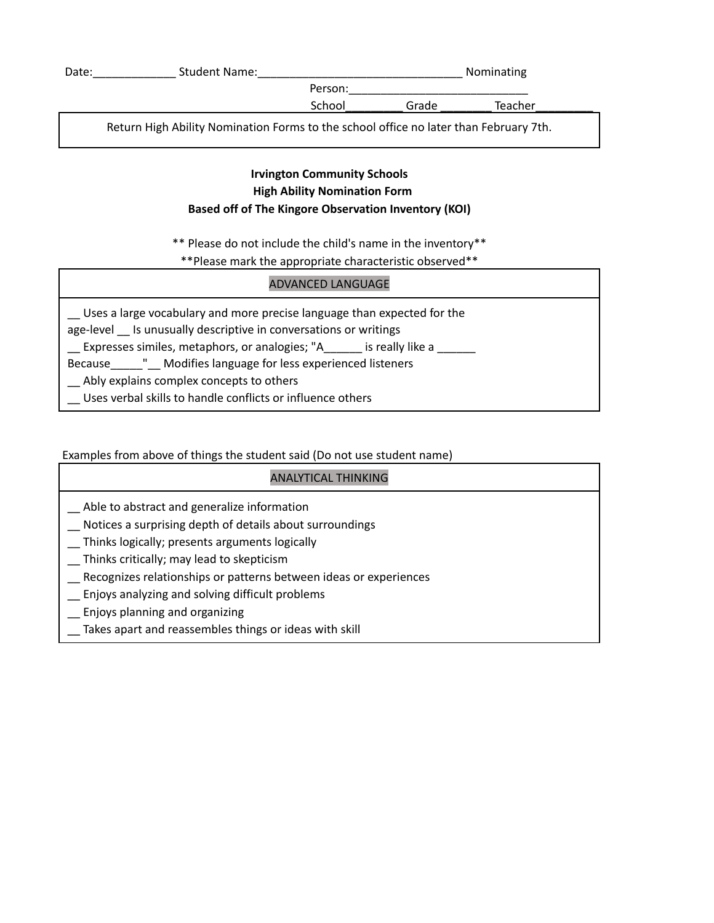| Date: | <b>Student Name:</b>                                                                  |         |       | Nominating |  |
|-------|---------------------------------------------------------------------------------------|---------|-------|------------|--|
|       |                                                                                       | Person: |       |            |  |
|       |                                                                                       | School  | Grade | Teacher    |  |
|       | Return High Ability Nomination Forms to the school office no later than February 7th. |         |       |            |  |

### **Irvington Community Schools High Ability Nomination Form Based off of The Kingore Observation Inventory (KOI)**

\*\* Please do not include the child's name in the inventory\*\*

\*\*Please mark the appropriate characteristic observed\*\*

## ADVANCED LANGUAGE

\_\_ Uses a large vocabulary and more precise language than expected for the

age-level \_\_ Is unusually descriptive in conversations or writings

Expresses similes, metaphors, or analogies; "A\_\_\_\_\_\_ is really like a \_\_\_\_\_

Because\_\_\_\_\_"\_\_ Modifies language for less experienced listeners

Ably explains complex concepts to others

\_\_ Uses verbal skills to handle conflicts or influence others

## Examples from above of things the student said (Do not use student name)

# ANALYTICAL THINKING \_\_ Able to abstract and generalize information \_\_ Notices a surprising depth of details about surroundings \_\_ Thinks logically; presents arguments logically \_\_ Thinks critically; may lead to skepticism \_\_ Recognizes relationships or patterns between ideas or experiences \_\_ Enjoys analyzing and solving difficult problems \_\_ Enjoys planning and organizing Takes apart and reassembles things or ideas with skill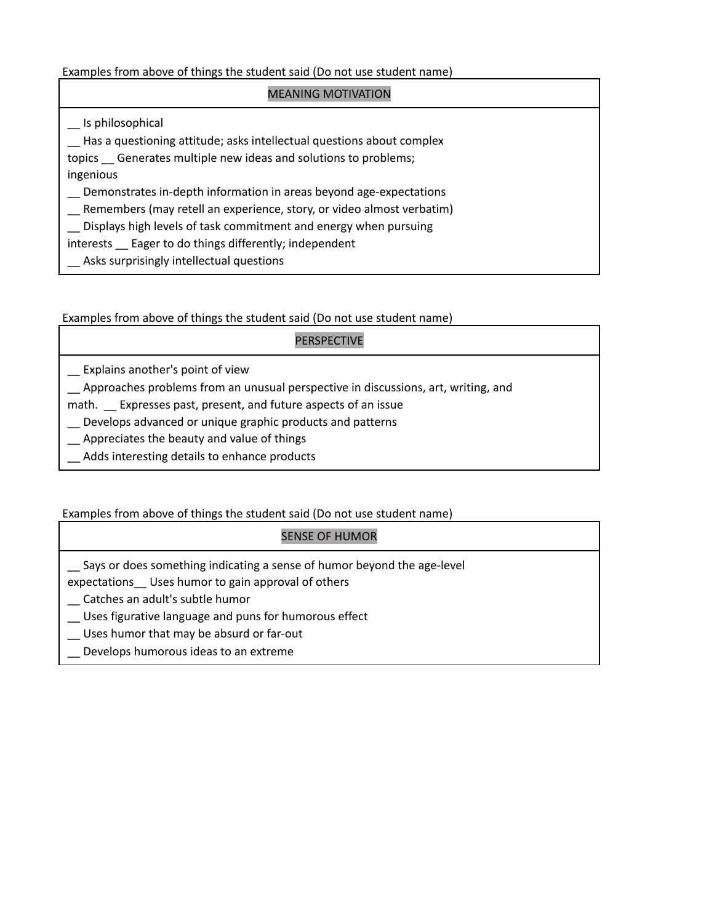Examples from above of things the student said (Do not use student name)

## MEANING MOTIVATION \_\_ Is philosophical \_\_ Has a questioning attitude; asks intellectual questions about complex topics \_\_ Generates multiple new ideas and solutions to problems; ingenious \_\_ Demonstrates in-depth information in areas beyond age-expectations \_\_ Remembers (may retell an experience, story, or video almost verbatim) \_\_ Displays high levels of task commitment and energy when pursuing interests \_\_ Eager to do things differently; independent Asks surprisingly intellectual questions

Examples from above of things the student said (Do not use student name)

#### PERSPECTIVE

- \_\_ Explains another's point of view
- \_\_ Approaches problems from an unusual perspective in discussions, art, writing, and
- math. Expresses past, present, and future aspects of an issue
- \_\_ Develops advanced or unique graphic products and patterns
- \_\_ Appreciates the beauty and value of things
- Adds interesting details to enhance products

#### Examples from above of things the student said (Do not use student name)

#### SENSE OF HUMOR

- Says or does something indicating a sense of humor beyond the age-level
- expectations\_\_ Uses humor to gain approval of others
- \_\_ Catches an adult's subtle humor
- \_\_ Uses figurative language and puns for humorous effect
- \_\_ Uses humor that may be absurd or far-out
- Develops humorous ideas to an extreme